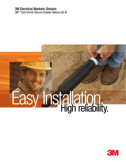#### 3M Electrical Markets Division

3M™ Cold Shrink Silicone Rubber Splices QS-III

# **Easy Installation.**

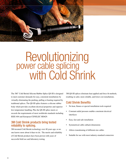

# **Revolutionizing<br>power cable splicing** with Cold Shrink

The 3M™ Cold Shrink Silicone Rubber Splice QS-III is designed to meet customer demands for easy, consistent installations by virtually eliminating the pushing, pulling or heating required by traditional splices. The QS-III splice features a silicone rubber body which provides excellent electrical properties and superior low temperature handling. Plus the QS-III splice meets or exceeds the requirements of most worldwide standards including IEEE 404 and European CENELEC HD629.

#### 3M Cold Shrink products bring tested reliability to splicing.

3M invented Cold Shrink technology over 40 years ago, so no one knows more about it than we do. The merits and reliability of Cold Shrink products have been proven with years of successful field use and laboratory testing.

3M QS-III splices eliminate heat applied and force fit methods, resulting in safer, more reliable, and lower cost installations.

#### Cold Shrink Benefits

- No heat, flames or special installation tools required
- Constant radial pressure enables consistent electrical interfaces
- Easy, fast and safe installation
- Symmetrical cable cutback dimensions
- Allows transitioning of different size cables
- Suitable for use with most industry-standard connectors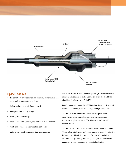

#### Splice Features

- Silicone body provides excellent electrical performance and superior low temperature handling
- Splice bodies are 100% factory tested
- One piece splice body design
- Field-proven technology
- Meets IEEE 404, Cenelec, and European VDE standards
- Wide cable range for individual splice bodies
- Allows easy size transitions within a splice range

3M™ Cold Shrink Silicone Rubber Splices QS-III come with the components required to make a complete splice for most types of cable and voltages from 5-46 kV.

For CN (concentric neutral) or JCN (jacketed concentric neutral) type shielded cables, there are two types of QS-III splice kits.

The 5400A series splice kits come with the splice body, a separate one-piece rejacketing tube and the components necessary to splice one cable. The kits can be ordered with or without a connector.

The 5400A-WG series splice kits also are for CN or JCN cables. These splice kits have splice bodies, bleeder wires and protective jacket tubes, all loaded on one core for ease of installation and minimal rejacketing. The components, except connectors, necessary to splice one cable are included in the kit.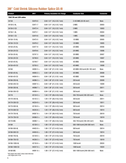## 3M™ Cold Shrink Silicone Rubber Splice QS-III

| <b>Product</b>         | UPC*          | <b>Primary Insulation O.D. Range</b> | <b>Conductor Size</b>                       | <b>Connector</b> |
|------------------------|---------------|--------------------------------------|---------------------------------------------|------------------|
| 15kV CN and JCN cables |               |                                      |                                             |                  |
| 5415A                  | 53470-0       | $0.64 - 1.01$ " (16,3-25,7 mm)       | 2-4/0 AWG (35-95 mm <sup>2</sup> )          | None             |
| 5415A-2-AL             | 53471-7       | $0.64 - 1.01$ " (16,3-25,7 mm)       | 2 AWG                                       | 20003            |
| 5415A-2-CU             | 53472-4       | $0.64 - 1.01$ " (16,3-25,7 mm)       | 2 AWG                                       | 10003            |
| 5415A-1-AL             | 53473-1       | $0.64 - 1.01$ " (16,3-25,7 mm)       | 1 AWG                                       | 20004            |
| 5415A-1-CU             | 53474-8       | $0.64 - 1.01$ " (16,3-25,7 mm)       | 1 AWG                                       | 10004            |
| 5415A-1/0-AL           | 53475-5       | $0.64 - 1.01$ " (16,3-25,7 mm)       | 1/0 AWG                                     | 20005            |
| 5415A-1/0-CU           | 53476-2       | $0.64 - 1.01$ " (16,3-25,7 mm)       | 1/0 AWG                                     | 10005            |
| 5415A-2/0-AL           | 53477-9       | $0.64 - 1.01$ " (16,3-25,7 mm)       | 2/0 AWG                                     | 20006            |
| 5415A-2/0-CU           | 53478-6       | $0.64 - 1.01$ " (16,3-25,7 mm)       | <b>2/0 AWG</b>                              | 10006            |
| 5415A-3/0-AL           | 53747-3       | $0.64 - 1.01$ " (16,3-25,7 mm)       | 3/0 AWG                                     | 20007            |
| 5415A-3/0-CU           | 53748-0       | $0.64 - 1.01$ " (16,3-25,7 mm)       | 3/0 AWG                                     | 10007            |
| 5415A-4/0-AL           | 53749-7       | $0.64 - 1.01$ " (16,3-25,7 mm)       | 4/0 AWG                                     | 20008            |
| 5415A-4/0-CU           | 53750-3       | $0.64 - 1.01$ " (16,3-25,7 mm)       | 4/0 AWG                                     | 10008            |
| 5416A                  | $44092 - 5 +$ | $0.84 - 1.38$ " (21,3-35,1 mm)       | 4/0 AWG-350 kcmil (95-185 mm <sup>2</sup> ) | None             |
| 5416A-4/0-AL           | $44093 - 2 +$ | $0.84 - 1.38$ " (21,3-35,1 mm)       | 4/0 AWG                                     | 20008            |
| 5416A-4/0-CU           | $44094 - 9 +$ | $0.84 - 1.38$ " (21,3-35,1 mm)       | 4/0 AWG                                     | 10008            |
| 5416A-250-AL           | $44096 - 3 +$ | $0.84 - 1.38$ " (21,3-35,1 mm)       | 250 kcmil                                   | 20009            |
| 5416A-250-CU           | $44097 - 0 +$ | $0.84 - 1.38$ " (21,3-35,1 mm)       | 250 kcmil                                   | 10009            |
| 5416A-350-AL           | $44098 - 7 +$ | $0.84 - 1.38$ " (21,3-35,1 mm)       | 350 kcmil                                   | 20011            |
| 5416A-350-CU           | $44099 - 4 +$ | $0.84 - 1.38$ " (21,3-35,1 mm)       | 350 kcmil                                   | 10011            |
| 5417A                  | $42124 - 5 +$ | 1.04-1.70" (26,4-43,2 mm)            | 350-750 kcmil (185-325 mm <sup>2</sup> )    | None             |
| 5417A-350-AL           | $42125 - 2 +$ | $1.04 - 1.70$ " (26,4-43,2 mm)       | 350 kcmil                                   | 20011            |
| 5417A-350-CU           | $44234 - 9 +$ | 1.04-1.70" (26,4-43,2 mm)            | 350 kcmil                                   | 10011            |
| 5417A-500-AL           | $42126 - 9 +$ | $1.04 - 1.70$ " (26,4-43,2 mm)       | 500 kcmil                                   | 20014            |
| 5417A-500-CU           | $44235-6+$    | 1.04-1.70" (26,4-43,2 mm)            | 500 kcmil                                   | 10014            |
| 5417A-750-AL           | $04587 - 8 +$ | $1.04 - 1.70$ " (26,4-43,2 mm)       | 750 kcmil                                   | 20019            |
| 5417A-750-CU           | $04588-5+$    | 1.04-1.70" (26,4-43,2 mm)            | 750 kcmil                                   | 10019            |
| 5417A-WG               | $44090 - 1 +$ | $1.04 - 1.70$ " (26,4-43,2 mm)       | 350-750 kcmil (185-325 mm <sup>2</sup> )    | None             |
| 5418A                  | $42128 - 3 +$ | 1.08-1.70" (27,4-43,2 mm)            | 500-1000 kcmil (240-500 mm <sup>2</sup> )   | None             |
| 5418A-500-AL           | $44403 - 9 +$ | 1.08-1.70" (27,4-43,2 mm)            | 500 kcmil                                   | 20014            |
| 5418A-500-CU           | $44404 - 6 +$ | 1.08-1.70" (27,4-43,2 mm)            | 500 kcmil                                   | 10014            |
| 5418A-750-AL           | $42129 - 0 +$ | 1.08-1.70" (27,4-43,2 mm)            | 750 kcmil                                   | 20019            |
| 5418A-750-CU           | $44236 - 3 +$ | 1.08-1.70" (27,4-43,2 mm)            | 750 kcmil                                   | 10019            |
| 5418A-1000-AL          | $42130 - 6 +$ | 1.08-1.70" (27,4-43,2 mm)            | 1000 kcmil                                  | 20024            |
| 5418A-1000-CU          | $44237 - 0 +$ | 1.08-1.70" (27,4-43,2 mm)            | 1000 kcmil                                  | 10024            |
| 5418A-WG               | $44091 - 8 +$ | 1.08-1.70" (27,4-43,2 mm)            | 500-1000 kcmil (240-500 mm <sup>2</sup> )   | None             |

\*UPC begins with 54007 unless noted otherwise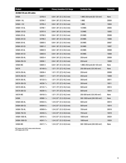| <b>Product</b>            | UPC*          | <b>Primary Insulation O.D. Range</b> | <b>Conductor Size</b>                     | <b>Connector</b> |
|---------------------------|---------------|--------------------------------------|-------------------------------------------|------------------|
| 25/28kV CN and JCN cables |               |                                      |                                           |                  |
| 5456A                     | 53793-0       | $0.84 - 1.36$ " (21,3-34,5 mm)       | 1 AWG-250 kcmil (50-120 mm <sup>2</sup> ) | None             |
| 5456A-1-AL                | 53794-7       | $0.84 - 1.36$ " (21,3-34,5 mm)       | 1 AWG                                     | 20004            |
| 5456A-1-CU                | 53795-4       | $0.84 - 1.36$ " (21,3-34,5 mm)       | 1 AWG                                     | 10004            |
| 5456A-1/0-AL              | 53796-1       | $0.84 - 1.36$ " (21,3-34,5 mm)       | 1/0 AWG                                   | 20005            |
| 5456A-1/0-CU              | 53797-8       | $0.84 - 1.36$ " (21,3-34,5 mm)       | 1/0 AWG                                   | 10005            |
| 5456A-2/0-AL              | 53798-5       | $0.84 - 1.36$ " (21,3-34,5 mm)       | <b>2/0 AWG</b>                            | 20006            |
| 5456A-2/0-CU              | 53799-2       | $0.84 - 1.36$ " (21,3-34,5 mm)       | <b>2/0 AWG</b>                            | 10006            |
| 5456A-3/0-AL              | 53800-5       | $0.84 - 1.36$ " (21,3-34,5 mm)       | 3/0 AWG                                   | 20007            |
| 5456A-3/0-CU              | 53801-2       | $0.84 - 1.36$ " (21,3-34,5 mm)       | 3/0 AWG                                   | 10007            |
| 5456A-4/0-AL              | 53802-9       | $0.84 - 1.36$ " (21,3-34,5 mm)       | 4/0 AWG                                   | 20008            |
| 5456A-4/0-CU              | 53803-6       | $0.84 - 1.36$ " (21,3-34,5 mm)       | 4/0 AWG                                   | 10008            |
| 5456A-250-AL              | 53935-4       | $0.84 - 1.36$ " (21,3-34,5 mm)       | 250 kcmil                                 | 20009            |
| 5456A-250-CU              | 53936-1       | $0.84 - 1.36$ " (21,3-34,5 mm)       | 250 kcmil                                 | 10009            |
| 5456A-WG                  | 53804-3       | $0.84 - 1.36$ " (21,3-34,5 mm)       | 1 AWG-250 kcmil (50-120 mm <sup>2</sup> ) | None             |
| 5457A                     | $42149-8 +$   | 1.07-1.70" (27,2-43,2 mm)            | 250-500 kcmil (120-240 mm <sup>2</sup> )  | None             |
| 5457A-250-AL              | 53836-4       | 1.07-1.70" (27,2-43,2 mm)            | 250 kcmil                                 | 20009            |
| 5457A-250-CU              | 53837-1       | 1.07-1.70" (27,2-43,2 mm)            | 250 kcmil                                 | 10009            |
| 5457A-350-AL              | $42132 - 0 +$ | 1.07-1.70" (27,2-43,2 mm)            | 350 kcmil                                 | 20011            |
| 5457A-350-CU              | $44238 - 7 +$ | 1.07-1.70" (27,2-43,2 mm)            | 350 kcmil                                 | 10011            |
| 5457A-500-AL              | $42133 - 7 +$ | $1.07 - 1.70$ " (27,2-43,2 mm)       | 500 kcmil                                 | 20014            |
| 5457A-500-CU              | $44239 - 4 +$ | 1.07-1.70" (27,2-43,2 mm)            | 500 kcmil                                 | 10014            |
| 5457A-WG                  | $43416 - 0 +$ | $1.07 - 1.70$ " (27,2-43,2 mm)       | 250-500 kcmil (120-240 mm <sup>2</sup> )  | None             |
| 5458A                     | $42908-1+$    | 1.24-2.07" (31,5-52,6 mm)            | 500-1000 kcmil (240-500 mm <sup>2</sup> ) | None             |
| 5458A-500-AL              | $04593-9+$    | 1.24-2.07" (31,5-52,6 mm)            | 500 kcmil                                 | 20014            |
| 5458A-500-CU              | $04594-6+$    | 1.24-2.07" (31,5-52,6 mm)            | 500 kcmil                                 | 10014            |
| 5458A-750-AL              | $42909 - 8 +$ | 1.24-2.07" (31,5-52,6 mm)            | 750 kcmil                                 | 20019            |
| 5458A-750-CU              | $44240 - 0 +$ | 1.24-2.07" (31,5-52,6 mm)            | 750 kcmil                                 | 10019            |
| 5458A-1000-AL             | $42910 - 4 +$ | 1.24-2.07" (31,5-52,6 mm)            | 1000 kcmil                                | 20024            |
| 5458A-1000-CU             | $44241 - 7 +$ | 1.24-2.07" (31,5-52,6 mm)            | 1000 kcmil                                | 10024            |
| 5458A-WG                  | $43417 - 7 +$ | 1.24-2.07" (31,5-52,6 mm)            | 500-1000 kcmil (240-500 mm <sup>2</sup> ) | None             |

\*UPC begins with 54007 unless noted otherwise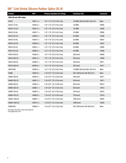## 3M™ Cold Shrink Silicone Rubber Splice QS-III

| <b>Product</b>         | UPC*          | <b>Primary Insulation O.D. Range</b> | <b>Conductor Size</b>                       | <b>Connector</b> |
|------------------------|---------------|--------------------------------------|---------------------------------------------|------------------|
| 35kV CN and JCN cables |               |                                      |                                             |                  |
| 5467A                  | $43051 - 3 +$ | 1.07-1.70" (27,2-43,2 mm)            | 1/0 AWG-350 kcmil (60-185 mm <sup>2</sup> ) | None             |
| 5467A-1/0-AL           | $43052 - 0 +$ | 1.07-1.70" (27,2-43,2 mm)            | 1/0 AWG                                     | 20005            |
| 5467A-1/0-CU           | $43057 - 5 +$ | 1.07-1.70" (27,2-43,2 mm)            | 1/0 AWG                                     | 10005            |
| 5467A-2/0-AL           | $43053 - 7 +$ | 1.07-1.70" (27,2-43,2 mm)            | <b>2/0 AWG</b>                              | 20006            |
| 5467A-2/0-CU           | $43058 - 2 +$ | 1.07-1.70" (27,2-43,2 mm)            | <b>2/0 AWG</b>                              | 10006            |
| 5467A-3/0-AL           | $43054 - 4 +$ | 1.07-1.70" (27,2-43,2 mm)            | 3/0 AWG                                     | 20007            |
| 5467A-3/0-CU           | $43059 - 9 +$ | 1.07-1.70" (27,2-43,2 mm)            | 3/0 AWG                                     | 10007            |
| 5467A-4/0-AL           | $43055 - 1 +$ | 1.07-1.70" (27,2-43,2 mm)            | 4/0 AWG                                     | 20008            |
| 5467A-4/0-CU           | $43060 - 5 +$ | 1.07-1.70" (27,2-43,2 mm)            | 4/0 AWG                                     | 10008            |
| 5467A-250-AL           | $43056 - 8 +$ | 1.07-1.70" (27,2-43,2 mm)            | 250 kcmil                                   | 20009            |
| 5467A-250-CU           | $43061 - 2 +$ | 1.07-1.70" (27,2-43,2 mm)            | 250 kcmil                                   | 10009            |
| 5467A-350-AL           | $04589 - 2 +$ | 1.07-1.70" (27,2-43,2 mm)            | 350 kcmil                                   | 20011            |
| 5467A-350-CU           | $04590 - 8 +$ | 1.07-1.70" (27,2-43,2 mm)            | 350 kcmil                                   | 10011            |
| 5467A-WG               | $53883 - 8 +$ | $1.07 - 1.70$ " (27,2-43,2 mm)       | 1/0 AWG-350 kcmil (60-185 mm <sup>2</sup> ) | None             |
| 5468A                  | $43062 - 9 +$ | 1.24-2.07" (31,5-52,6 mm)            | 350-1000 kcmil (185-500 mm <sup>2</sup> )   | None             |
| 5468A-350-AL           | $43063 - 6 +$ | $1.24 - 2.07$ " (31,5-52,6 mm)       | 350 kcmil                                   | 20011            |
| 5468A-350-CU           | $43067 - 4 +$ | 1.24-2.07" (31,5-52,6 mm)            | 350 kcmil                                   | 10011            |
| 5468A-500-AL           | $43064 - 3 +$ | $1.24 - 2.07$ " (31,5-52,6 mm)       | 500 kcmil                                   | 20014            |
| 5468A-500-CU           | $43068 - 1 +$ | 1.24-2.07" (31,5-52,6 mm)            | 500 kcmil                                   | 10014            |
| 5468A-750-AL           | $43065 - 0 +$ | 1.24-2.07" (31,5-52,6 mm)            | 750 kcmil                                   | 20019            |
| 5468A-750-CU           | $43069 - 8 +$ | 1.24-2.07" (31,5-52,6 mm)            | 750 kcmil                                   | 10019            |
| 5468A-1000-AL          | $43066 - 7 +$ | 1.24-2.07" (31,5-52,6 mm)            | 1000 kcmil                                  | 20024            |
| 5468A-1000-CU          | $43070 - 4 +$ | 1.24-2.07" (31,5-52,6 mm)            | 1000 kcmil                                  | 10024            |
| 5468A-WG               | $53909 - 5 +$ | 1.24-2.07" (31,5-52,6 mm)            | 350-1000 kcmil (185-500 mm <sup>2</sup> )   | None             |

\*UPC begins with 54007 unless noted otherwise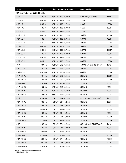| <b>Product</b>                            | UPC*          | <b>Primary Insulation O.D. Range</b> | <b>Conductor Size</b>                       | <b>Connector</b> |
|-------------------------------------------|---------------|--------------------------------------|---------------------------------------------|------------------|
| 15kV LC, wire, tape and UniShield® cables |               |                                      |                                             |                  |
| 5513A                                     | 53480-9       | $0.64 - 1.01$ " (16,3-25,7 mm)       | 2-4/0 AWG (35-95 mm <sup>2</sup> )          | None             |
| 5513A-2-AL                                | 53481-6       | $0.64 - 1.01$ " (16,3-25,7 mm)       | 2 AWG                                       | 20003            |
| 5513A-2-CU                                | 53482-3       | $0.64 - 1.01$ " (16,3-25,7 mm)       | 2 AWG                                       | 10003            |
| 5513A-1-AL                                | 53483-0       | $0.64 - 1.01$ " (16,3-25,7 mm)       | 1 AWG                                       | 20004            |
| 5513A-1-CU                                | 53484-7       | $0.64 - 1.01$ " (16,3-25,7 mm)       | 1 AWG                                       | 10004            |
| 5513A-1/0-AL                              | 53485-4       | $0.64 - 1.01$ " (16,3-25,7 mm)       | 1/0 AWG                                     | 20005            |
| 5513A-1/0-CU                              | 53486-1       | $0.64 - 1.01$ " (16,3-25,7 mm)       | 1/0 AWG                                     | 10005            |
| 5513A-2/0-AL                              | 53487-8       | $0.64 - 1.01$ " (16,3-25,7 mm)       | 2/0 AWG                                     | 20006            |
| 5513A-2/0-CU                              | 53488-5       | $0.64 - 1.01$ " (16,3-25,7 mm)       | <b>2/0 AWG</b>                              | 10006            |
| 5513A-3/0-AL                              | 53489-2       | $0.64 - 1.01$ " (16,3-25,7 mm)       | 3/0 AWG                                     | 20007            |
| 5513A-3/0-CU                              | 53490-8       | $0.64 - 1.01$ " (16,3-25,7 mm)       | 3/0 AWG                                     | 10007            |
| 5513A-4/0-AL                              | 53491-5       | $0.64 - 1.01$ " (16,3-25,7 mm)       | 4/0 AWG                                     | 20008            |
| 5513A-4/0-CU                              | 53492-2       | $0.64 - 1.01$ " (16,3-25,7 mm)       | 4/0 AWG                                     | 10008            |
| 5514A                                     | $44101 - 5 +$ | $0.84 - 1.38$ " (21,3-35,1 mm)       | 4/0 AWG-500 kcmil (95-240 mm <sup>2</sup> ) | None             |
| 5514A-4/0-AL                              | $44102 - 1 +$ | $0.84 - 1.38$ " (21,3-35,1 mm)       | 4/0 AWG                                     | 20008            |
| 5514A-4/0-CU                              | $44103 - 8 +$ | $0.84 - 1.38$ " (21,3-35,1 mm)       | 4/0 AWG                                     | 10008            |
| 5514A-250-AL                              | $44104 - 5 +$ | $0.84 - 1.38$ " (21,3-35,1 mm)       | 250 kcmil                                   | 20009            |
| 5514A-250-CU                              | $44105 - 2 +$ | $0.84 - 1.38$ " (21,3-35,1 mm)       | 250 kcmil                                   | 10009            |
| 5514A-350-AL                              | $44106 - 9 +$ | $0.84 - 1.38$ " (21,3-35,1 mm)       | 350 kcmil                                   | 20011            |
| 5514A-350-CU                              | $44107 - 6 +$ | $0.84 - 1.38$ " (21,3-35,1 mm)       | 350 kcmil                                   | 10011            |
| 5514A-500-AL                              | $44407 - 7 +$ | $0.84 - 1.38$ " (21,3-35,1 mm)       | 500 kcmil                                   | 20014            |
| 5514A-500-CU                              | $44408 - 4 +$ | $0.84 - 1.38$ " (21,3-35,1 mm)       | 500 kcmil                                   | 10014            |
| 5515A                                     | $42134 - 4 +$ | 1.04-1.70" (26,4-43,2 mm)            | 350-750 kcmil (185-325 mm <sup>2</sup> )    | None             |
| 5515A-350-AL                              | $42135 - 1 +$ | 1.04-1.70" (26,4-43,2 mm)            | 350 kcmil                                   | 20011            |
| 5515A-350-CU                              | $42898 - 5 +$ | 1.04-1.70" (26,4-43,2 mm)            | 350 kcmil                                   | 10011            |
| 5515A-500-AL                              | $42899 - 2 +$ | 1.04-1.70" (26,4-43,2 mm)            | 500 kcmil                                   | 20014            |
| 5515A-500-CU                              | $42136 - 8 +$ | 1.04-1.70" (26,4-43,2 mm)            | 500 kcmil                                   | 10014            |
| 5515A-750-AL                              | $42900 - 5 +$ | 1.04-1.70" (26,4-43,2 mm)            | 750 kcmil                                   | 20019            |
| 5515A-750-CU                              | $42137 - 5 +$ | 1.04-1.70" (26,4-43,2 mm)            | 750 kcmil                                   | 10019            |
| 5516A                                     | $42139 - 9 +$ | 1.08-1.70" (27,4-43,2 mm)            | 500-1000 kcmil (240-500 mm <sup>2</sup> )   | None             |
| 5516A-500-AL                              | $44405 - 3 +$ | 1.08-1.70" (27,4-43,2 mm)            | 500 kcmil                                   | 20014            |
| 5516A-500-CU                              | $44406 - 0 +$ | 1.08-1.70" (27,4-43,2 mm)            | 500 kcmil                                   | 10014            |
| 5516A-750-AL                              | $43254 - 8 +$ | 1.08-1.70" (27,4-43,2 mm)            | 750 kcmil                                   | 20019            |
| 5516A-750-CU                              | $43255 - 5 +$ | 1.08-1.70" (27,4-43,2 mm)            | 750 kcmil                                   | 10019            |
| 5516A-1000-AL                             | $42901 - 2 +$ | 1.08-1.70" (27,4-43,2 mm)            | 1000 kcmil                                  | 20024            |
| 5516A-1000-CU                             | $42106 - 1 +$ | 1.08-1.70" (27,4-43,2 mm)            | 1000 kcmil                                  | 10024            |

\*UPC begins with 54007 unless noted otherwise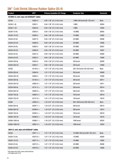## 3M™ Cold Shrink Silicone Rubber Splice QS-III

| <b>Product</b>                               | UPC*          | <b>Primary Insulation O.D. Range</b> | <b>Conductor Size</b>                       | <b>Connector</b> |  |
|----------------------------------------------|---------------|--------------------------------------|---------------------------------------------|------------------|--|
| 25/28kV LC, wire, tape and UniShield® cables |               |                                      |                                             |                  |  |
| 5524A                                        | 53922-4       | $0.84 - 1.36$ " (21,3-34,5 mm)       | 1 AWG-250 kcmil (50-120 mm <sup>2</sup> )   | None             |  |
| 5524A-1-AL                                   | 53923-1       | $0.84 - 1.36$ " (21,3-34,5 mm)       | 1 AWG                                       | 20004            |  |
| 5524A-1-CU                                   | 53924-8       | $0.84 - 1.36$ " (21,3-34,5 mm)       | 1 AWG                                       | 10004            |  |
| 5524A-1/0-AL                                 | 53925-5       | $0.84 - 1.36$ " (21,3-34,5 mm)       | 1/0 AWG                                     | 20005            |  |
| 5524A-1/0-CU                                 | 53926-2       | $0.84 - 1.36$ " (21,3-34,5 mm)       | 1/0 AWG                                     | 10005            |  |
| 5524A-2/0-AL                                 | 53927-9       | $0.84 - 1.36$ " (21,3-34,5 mm)       | 2/0 AWG                                     | 20006            |  |
| 5524A-2/0-CU                                 | 53928-6       | $0.84 - 1.36$ " (21,3-34,5 mm)       | 2/0 AWG                                     | 10006            |  |
| 5524A-3/0-AL                                 | 53929-3       | $0.84 - 1.36$ " (21,3-34,5 mm)       | 3/0 AWG                                     | 20007            |  |
| 5524A-3/0-CU                                 | 53930-9       | $0.84 - 1.36$ " (21,3-34,5 mm)       | 3/0 AWG                                     | 10007            |  |
| 5524A-4/0-AL                                 | 53931-6       | $0.84 - 1.36$ " (21,3-34,5 mm)       | 4/0 AWG                                     | 20008            |  |
| 5524A-4/0-CU                                 | 53932-3       | $0.84 - 1.36$ " (21,3-34,5 mm)       | 4/0 AWG                                     | 10008            |  |
| 5524A-250-AL                                 | 53933-0       | $0.84 - 1.36$ " (21,3-34,5 mm)       | 250 kcmil                                   | 20009            |  |
| 5524A-250-CU                                 | 53934-7       | $0.84 - 1.36$ " (21,3-34,5 mm)       | 250 kcmil                                   | 10009            |  |
| 5525A                                        | $42138 - 2 +$ | $1.07 - 1.70$ " (27,2-43,2 mm)       | 250-750 kcmil (120-325 mm <sup>2</sup> )    | None             |  |
| 5525A-250-AL                                 | 53845-6       | 1.07-1.70" (27,2-43,2 mm)            | 250 kcmil                                   | 20009            |  |
| 5525A-250-CU                                 | 53846-3       | 1.07-1.70" (27,2-43,2 mm)            | 250 kcmil                                   | 10009            |  |
| 5525A-350-AL                                 | $42140 - 5 +$ | 1.07-1.70" (27,2-43,2 mm)            | 350 kcmil                                   | 20011            |  |
| 5525A-350-CU                                 | $42902 - 9 +$ | $1.07 - 1.70$ " (27,2-43,2 mm)       | 350 kcmil                                   | 10011            |  |
| 5525A-500-AL                                 | $42141 - 2 +$ | 1.07-1.70" (27,2-43,2 mm)            | 500 kcmil                                   | 20014            |  |
| 5525A-500-CU                                 | $42903 - 6 +$ | 1.07-1.70" (27,2-43,2 mm)            | 500 kcmil                                   | 10014            |  |
| 5525A-750-AL                                 | $42904 - 3 +$ | 1.07-1.70" (27,2-43,2 mm)            | 750 kcmil                                   | 20019            |  |
| 5525A-750-CU                                 | $42127 - 6 +$ | $1.07 - 1.70$ " (27,2-43,2 mm)       | 750 kcmil                                   | 10019            |  |
| 5526A                                        | $42905 - 0 +$ | 1.24-2.07" (31,5-52,6 mm)            | 500-1000 kcmil (240-500 mm <sup>2</sup> )   | None             |  |
| 5526A-500-AL                                 | $04597 - 7 +$ | 1.24-2.07" (31,5-52,6 mm)            | 500 kcmil                                   | 20014            |  |
| 5526A-500-CU                                 | $04598 - 4 +$ | 1.24-2.07" (31,5-52,6 mm)            | 500 kcmil                                   | 10014            |  |
| 5526A-750-AL                                 | $04595 - 3 +$ | 1.24-2.07" (31,5-52,6 mm)            | 750 kcmil                                   | 20019            |  |
| 5526A-750-CU                                 | $04596 - 0 +$ | 1.24-2.07" (31,5-52,6 mm)            | 750 kcmil                                   | 10019            |  |
| 5526A-1000-AL                                | $42906 - 7 +$ | 1.24-2.07" (31,5-52,6 mm)            | 1000 kcmil                                  | 20024            |  |
| 5526A-1000-CU                                | $42907 - 4 +$ | 1.24-2.07" (31,5-52,6 mm)            | 1000 kcmil                                  | 10024            |  |
| 35kV LC, wire, tape and UniShield® cables    |               |                                      |                                             |                  |  |
| 5535A                                        | $43071 - 1 +$ | $1.07 - 1.70$ " (27,2-43,2 mm)       | 1/0 AWG-350 kcmil (60-185 mm <sup>2</sup> ) | None             |  |
| 5535A-1/0-AL                                 | $43072 - 8 +$ | $1.07 - 1.70$ " (27,2-43,2 mm)       | 1/0 AWG                                     | 20005            |  |
| 5535A-1/0-CU                                 | $43077 - 3 +$ | $1.07 - 1.70$ " (27,2-43,2 mm)       | 1/0 AWG                                     | 10005            |  |
| 5535A-2/0-AL                                 | $43073 - 5 +$ | $1.07 - 1.70$ " (27,2-43,2 mm)       | 2/0 AWG                                     | 20006            |  |
| 5535A-2/0-CU                                 | $43078 - 0 +$ | 1.07-1.70" (27,2-43,2 mm)            | 2/0 AWG                                     | 10006            |  |
| <b>E4007</b> unloss noted otherwise          |               |                                      |                                             |                  |  |

\*UPC begins with 54007 unless noted otherwise +UPC begins with 51128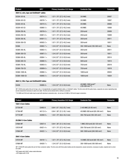| <b>Product</b>                            | $UPC^*$       | <b>Primary Insulation O.D. Range</b> | <b>Conductor Size</b>                     | <b>Connector</b> |  |  |
|-------------------------------------------|---------------|--------------------------------------|-------------------------------------------|------------------|--|--|
| 35kV LC, wire, tape and UniShield® cables |               |                                      |                                           |                  |  |  |
| 5535A-3/0-AL                              | $43074 - 2 +$ | $1.07 - 1.70$ " (27,2-43,2 mm)       | 3/0 AWG                                   | 20007            |  |  |
| 5535A-3/0-CU                              | $43079 - 7 +$ | $1.07 - 1.70$ " (27,2-43,2 mm)       | 3/0 AWG                                   | 10007            |  |  |
| 5535A-4/0-AL                              | $43075 - 9 +$ | $1.07 - 1.70$ " (27,2-43,2 mm)       | $4/0$ AWG                                 | 20008            |  |  |
| 5535A-4/0-CU                              | $43080 - 3 +$ | $1.07 - 1.70$ " (27,2-43,2 mm)       | 4/0 AWG                                   | 10008            |  |  |
| 5535A-250-AL                              | $43076 - 6 +$ | $1.07 - 1.70$ " (27,2-43,2 mm)       | 250 kcmil                                 | 20009            |  |  |
| 5535A-250-CU                              | $43081 - 0 +$ | $1.07 - 1.70$ " (27,2-43,2 mm)       | 250 kcmil                                 | 10009            |  |  |
| 5535A-350-AL                              | $04591 - 5 +$ | $1.07 - 1.70$ " (27,2-43,2 mm)       | 350 kcmil                                 | 20011            |  |  |
| 5535A-350-CU                              | $04592 - 2 +$ | 1.07-1.70" (27,2-43,2 mm)            | 350 kcmil                                 | 10011            |  |  |
| 5536A                                     | $43082 - 7 +$ | 1.24-2.07" (31,5-52,6 mm)            | 350-1000 kcmil (185-500 mm <sup>2</sup> ) | None             |  |  |
| 5536A-350-AL                              | $43083 - 4 +$ | 1.24-2.07" (31,5-52,6 mm)            | 350 kcmil                                 | 20011            |  |  |
| 5536A-350-CU                              | $43087 - 2 +$ | $1.24 - 2.07$ " (31,5-52,6 mm)       | 350 kcmil                                 | 10011            |  |  |
| 5536A-500-AL                              | $43084 - 1 +$ | $1.24 - 2.07$ " (31,5-52,6 mm)       | 500 kcmil                                 | 20014            |  |  |
| 5536A-500-CU                              | $43088 - 9 +$ | $1.24 - 2.07$ " (31,5-52,6 mm)       | 500 kcmil                                 | 10014            |  |  |
| 5536A-750-AL                              | $43085 - 8 +$ | $1.24 - 2.07$ " (31,5-52,6 mm)       | 750 kcmil                                 | 20019            |  |  |
| 5536A-750-CU                              | $43089 - 6 +$ | $1.24 - 2.07$ " (31,5-52,6 mm)       | 750 kcmil                                 | 10019            |  |  |
| 5536A-1000-AL                             | $43086 - 5 +$ | $1.24 - 2.07$ " (31,5-52,6 mm)       | 1000 kcmil                                | 20024            |  |  |
| 5536A-1000-CU                             | $43090 - 2 +$ | $1.24 - 2.07$ " (31,5-52,6 mm)       | 1000 kcmil                                | 10024            |  |  |
|                                           |               |                                      |                                           |                  |  |  |

#### **46kV LC, Wire Tape and UniShield® Cables**

| 5545A | 55089-2+ | $1.24 - 2.07$ " (31,5-52,6 mm) | 4/0 AWG-1000 kcmil**<br>$(120-500$ mm <sup>2**</sup> ) | None |
|-------|----------|--------------------------------|--------------------------------------------------------|------|
|-------|----------|--------------------------------|--------------------------------------------------------|------|

3M™ 5500A series splice kits are for tape, wire, LC (longitudinally corrugated) shielded cables, or Unishield® cables. The kits come with the splice body, a separate one-piece rejacketing tube and all components necessary to splice one cable. The kits can be ordered with or without a connector.

\*\*4/0 AWG and 250 kcmil cable may be used with aluminum connectors only—do not use 4/0 AWG or 250 kcmil copper connectors.

| <b>Product</b>            | UPC*          | <b>Primary Insulation O.D. Range</b> | <b>Conductor Size</b>                       | <b>Connector</b> |
|---------------------------|---------------|--------------------------------------|---------------------------------------------|------------------|
| <b>15kV 3-Core Cables</b> |               |                                      |                                             |                  |
| 5775A-MT                  | 53493-9       | $0.64 - 1.01$ " (16,3-25,7 mm)       | 2-4/0 AWG (35-95 mm <sup>2</sup> )          | None             |
| 5776A-MT                  | $44112 - 0 +$ | $0.84 - 1.38$ " (21,3-35,1 mm)       | 4/0 AWG-500 kcmil (95-240 mm <sup>2</sup> ) | None             |
| 5777A-MT                  | $44289 - 9 +$ | $1.04 - 1.70$ " (26,4-43,2 mm)       | 350-750 kcmil (185-325 mm <sup>2</sup> )    | <b>None</b>      |
| 25/28kV 3-Core Cables     |               |                                      |                                             |                  |
| 5786A-MT                  | 53937-8       | $0.84 - 1.36$ " (21,3-34,5 mm)       | 1 AWG-250 kcmil (50-120 mm <sup>2</sup> )   | <b>None</b>      |
| 5787A-MT                  | $43421 - 4 +$ | $1.07 - 1.70$ " (27,2-43,2 mm)       | 250-750 kcmil (120-325 mm <sup>2</sup> )    | None             |
| 5788A-MT                  | $43422 - 1 +$ | $1.24 - 2.07$ " (31,5-52,6 mm)       | 500-1000 kcmil (240-500 mm <sup>2</sup> )   | None             |
| 35kV 3-Core Cables        |               |                                      |                                             |                  |
| 5797A-MT                  | $43419-1+$    | $1.07 - 1.70$ " (27,2-43,2 mm)       | 1/0 AWG-350 kcmil (60-185 mm <sup>2</sup> ) | None             |
| 5798A-MT                  | $43420 - 7 +$ | $1.24 - 2.07$ " (31,5-52,6 mm)       | 350-1000 kcmil (185-500 mm <sup>2</sup> )   | None             |

3M™ 5700A-MT series splice kits are for three-conductor cables. The kits come with three splice bodies and all components, except connectors, necessary to splice, rejacket and re-armor one cable.

\*UPC begins with 54007 unless noted otherwise +UPC begins with 51128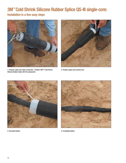# 3M™ Cold Shrink Silicone Rubber Splice QS-III single-core:

Installation in a few easy steps



1. Prepare cable and make connection. Position 3M™ Cold Shrink Silicone Rubber Splice QS-III components



2. Position splice and unwind core





3. Re-jacket Splice **4. Completed Splice** 4. Completed Splice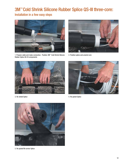# 3M™ Cold Shrink Silicone Rubber Splice QS-III three-core:

Installation in a few easy steps



1. Prepare cable and make connection. Position 3M™ Cold Shrink Silicone Rubber Splice QS-III components



2. Position splice and unwind core



3. Re-shield Splice 4. Re-jacket Splice



5. Re-jacket/Re-armor Splice